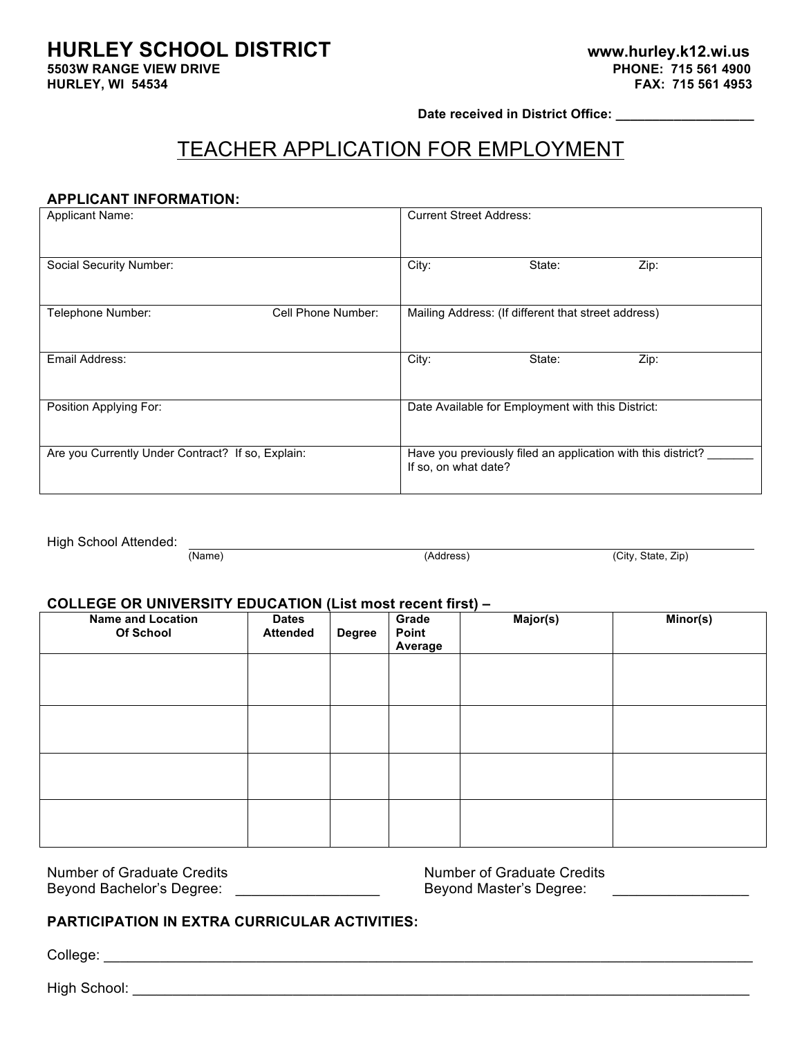# **HURLEY SCHOOL DISTRICT www.hurley.k12.wi.us**

**5503W RANGE VIEW DRIVE** 

**Date received in District Office: \_\_\_\_\_\_\_\_\_\_\_\_\_\_\_\_\_\_\_**

## TEACHER APPLICATION FOR EMPLOYMENT

#### **APPLICANT INFORMATION:**

| <b>Applicant Name:</b>                            | <b>Current Street Address:</b>                                                       |
|---------------------------------------------------|--------------------------------------------------------------------------------------|
| Social Security Number:                           | City:<br>Zip:<br>State:                                                              |
| Telephone Number:<br>Cell Phone Number:           | Mailing Address: (If different that street address)                                  |
| Email Address:                                    | City:<br>State:<br>Zip:                                                              |
| Position Applying For:                            | Date Available for Employment with this District:                                    |
| Are you Currently Under Contract? If so, Explain: | Have you previously filed an application with this district?<br>If so, on what date? |

High School Attended:

(Name) (Address) (City, State, Zip)

#### **COLLEGE OR UNIVERSITY EDUCATION (List most recent first) –**

| <b>Name and Location</b><br>Of School | <b>Dates</b><br><b>Attended</b> | $\mathbf{v}$<br><b>Degree</b> | Grade<br>Point<br>Average | $\mathbf{r}$<br>Major(s) | Minor(s) |
|---------------------------------------|---------------------------------|-------------------------------|---------------------------|--------------------------|----------|
|                                       |                                 |                               |                           |                          |          |
|                                       |                                 |                               |                           |                          |          |
|                                       |                                 |                               |                           |                          |          |
|                                       |                                 |                               |                           |                          |          |

Number of Graduate Credits Number of Graduate Credits Beyond Bachelor's Degree: \_\_\_\_\_\_\_\_\_\_\_\_\_\_\_\_\_\_ Beyond Master's Degree: \_\_\_\_\_\_\_\_\_\_\_\_\_\_\_\_\_

#### **PARTICIPATION IN EXTRA CURRICULAR ACTIVITIES:**

College: \_\_\_\_\_\_\_\_\_\_\_\_\_\_\_\_\_\_\_\_\_\_\_\_\_\_\_\_\_\_\_\_\_\_\_\_\_\_\_\_\_\_\_\_\_\_\_\_\_\_\_\_\_\_\_\_\_\_\_\_\_\_\_\_\_\_\_\_\_\_\_\_\_\_\_\_\_\_\_\_\_

High School: \_\_\_\_\_\_\_\_\_\_\_\_\_\_\_\_\_\_\_\_\_\_\_\_\_\_\_\_\_\_\_\_\_\_\_\_\_\_\_\_\_\_\_\_\_\_\_\_\_\_\_\_\_\_\_\_\_\_\_\_\_\_\_\_\_\_\_\_\_\_\_\_\_\_\_\_\_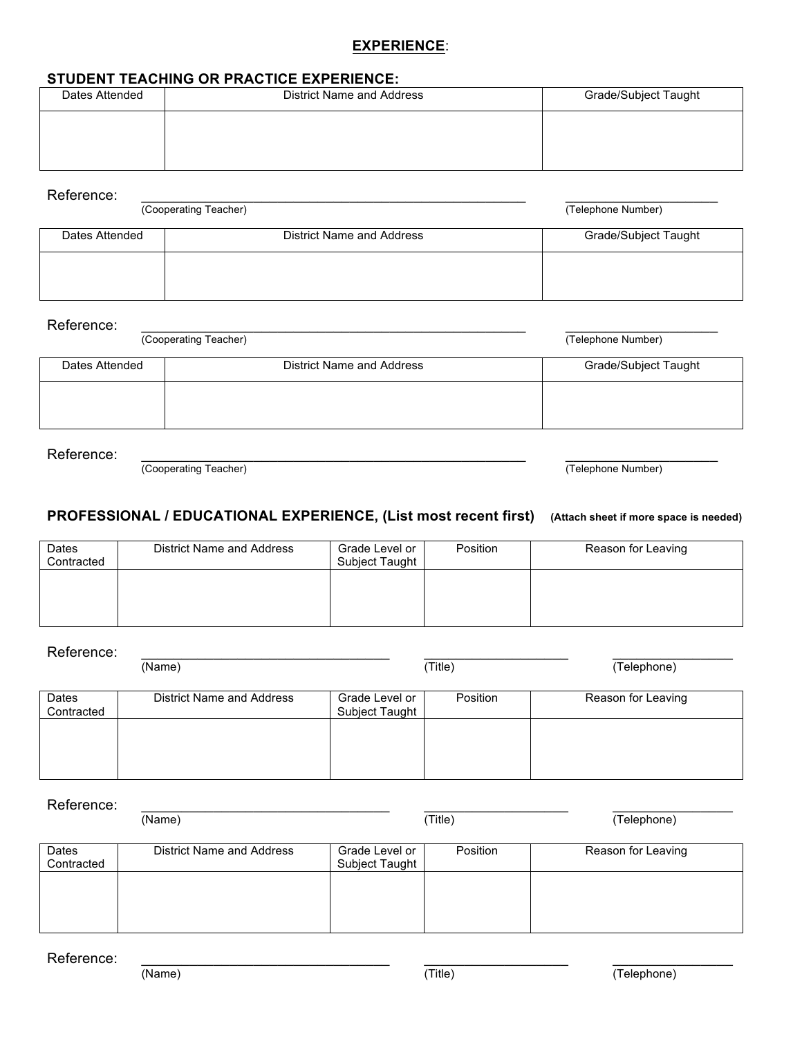### **EXPERIENCE**:

#### **STUDENT TEACHING OR PRACTICE EXPERIENCE:**

| Dates Attended | District Name and Address | Grade/Subject Taught |
|----------------|---------------------------|----------------------|
|                |                           |                      |
|                |                           |                      |
|                |                           |                      |

#### Reference: \_\_\_\_\_\_\_\_\_\_\_\_\_\_\_\_\_\_\_\_\_\_\_\_\_\_\_\_\_\_\_\_\_\_\_\_\_\_\_\_\_\_\_\_\_\_\_\_ \_\_\_\_\_\_\_\_\_\_\_\_\_\_\_\_\_\_\_

(Cooperating Teacher) (Telephone Number)

| Dates Attended | District Name and Address | Grade/Subject Taught |
|----------------|---------------------------|----------------------|
|                |                           |                      |

#### Reference: \_\_\_\_\_\_\_\_\_\_\_\_\_\_\_\_\_\_\_\_\_\_\_\_\_\_\_\_\_\_\_\_\_\_\_\_\_\_\_\_\_\_\_\_\_\_\_\_ \_\_\_\_\_\_\_\_\_\_\_\_\_\_\_\_\_\_\_

(Cooperating Teacher) (Telephone Number)

| District Name and Address | <b>Grade/Subject Taught</b> |
|---------------------------|-----------------------------|
|                           |                             |
|                           |                             |

Reference: \_\_\_\_\_\_\_\_\_\_\_\_\_\_\_\_\_\_\_\_\_\_\_\_\_\_\_\_\_\_\_\_\_\_\_\_\_\_\_\_\_\_\_\_\_\_\_\_ \_\_\_\_\_\_\_\_\_\_\_\_\_\_\_\_\_\_\_

(Cooperating Teacher) (Telephone Number)

#### **PROFESSIONAL / EDUCATIONAL EXPERIENCE, (List most recent first) (Attach sheet if more space is needed)**

| Dates<br>Contracted | District Name and Address | Grade Level or<br>Subject Taught | Position | Reason for Leaving |
|---------------------|---------------------------|----------------------------------|----------|--------------------|
|                     |                           |                                  |          |                    |
|                     |                           |                                  |          |                    |

| Reference:          |                           |                                  |          |                    |
|---------------------|---------------------------|----------------------------------|----------|--------------------|
|                     | (Name)                    |                                  | (Title)  | (Telephone)        |
|                     |                           |                                  |          |                    |
| Dates<br>Contracted | District Name and Address | Grade Level or<br>Subject Taught | Position | Reason for Leaving |
|                     |                           |                                  |          |                    |
|                     |                           |                                  |          |                    |
|                     |                           |                                  |          |                    |

Reference: \_\_\_\_\_\_\_\_\_\_\_\_\_\_\_\_\_\_\_\_\_\_\_\_\_\_\_\_\_\_\_ \_\_\_\_\_\_\_\_\_\_\_\_\_\_\_\_\_\_ \_\_\_\_\_\_\_\_\_\_\_\_\_\_\_ (Name) (Title) (The Chamber of The Chamber of Telephone) **Dates Contracted** District Name and Address Grade Level or Subject Taught Position Reason for Leaving

Reference: \_\_\_\_\_\_\_\_\_\_\_\_\_\_\_\_\_\_\_\_\_\_\_\_\_\_\_\_\_\_\_ \_\_\_\_\_\_\_\_\_\_\_\_\_\_\_\_\_\_ \_\_\_\_\_\_\_\_\_\_\_\_\_\_\_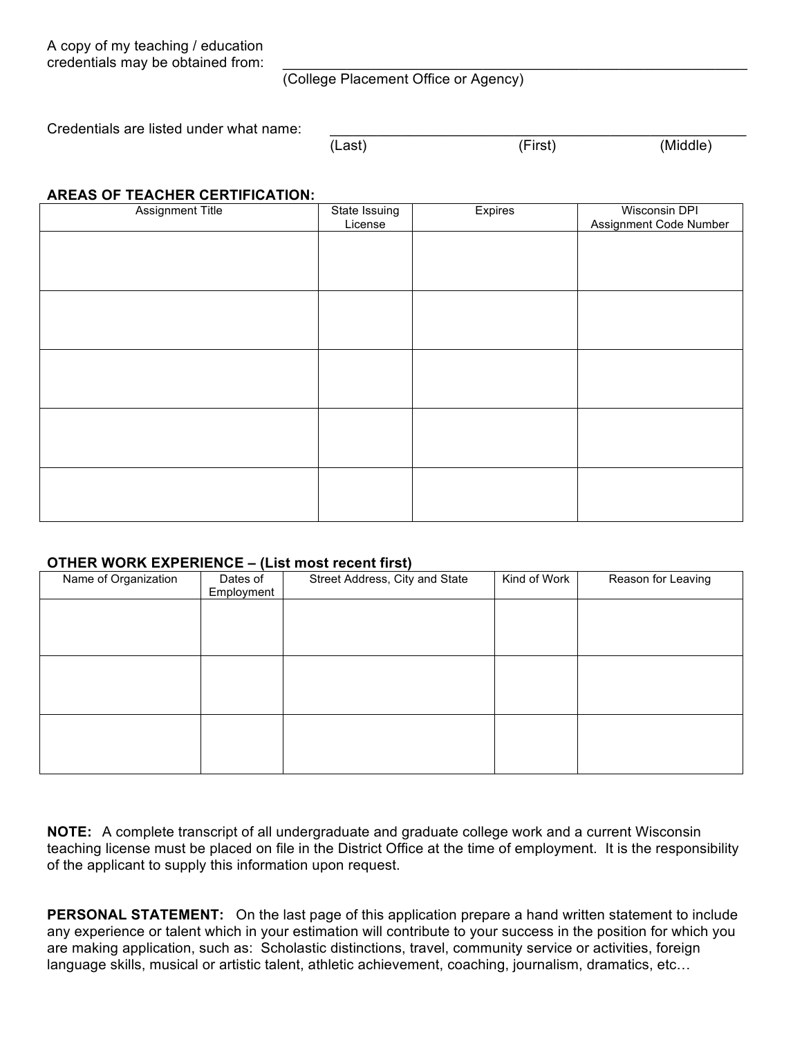A copy of my teaching / education credentials may be obtained from:

(College Placement Office or Agency)

Credentials are listed under what name:

| (Last) | (First) | (Middle) |
|--------|---------|----------|

#### **AREAS OF TEACHER CERTIFICATION:**

| <b>Assignment Title</b> | State Issuing<br>License | Expires | <b>Wisconsin DPI</b><br>Assignment Code Number |
|-------------------------|--------------------------|---------|------------------------------------------------|
|                         |                          |         |                                                |
|                         |                          |         |                                                |
|                         |                          |         |                                                |
|                         |                          |         |                                                |
|                         |                          |         |                                                |
|                         |                          |         |                                                |
|                         |                          |         |                                                |
|                         |                          |         |                                                |
|                         |                          |         |                                                |
|                         |                          |         |                                                |
|                         |                          |         |                                                |

#### **OTHER WORK EXPERIENCE – (List most recent first)**

| Name of Organization | $\cdot$<br>Dates of<br>Employment | $\mathbf{r}$<br>Street Address, City and State | Kind of Work | Reason for Leaving |
|----------------------|-----------------------------------|------------------------------------------------|--------------|--------------------|
|                      |                                   |                                                |              |                    |
|                      |                                   |                                                |              |                    |
|                      |                                   |                                                |              |                    |
|                      |                                   |                                                |              |                    |
|                      |                                   |                                                |              |                    |
|                      |                                   |                                                |              |                    |

**NOTE:** A complete transcript of all undergraduate and graduate college work and a current Wisconsin teaching license must be placed on file in the District Office at the time of employment. It is the responsibility of the applicant to supply this information upon request.

**PERSONAL STATEMENT:** On the last page of this application prepare a hand written statement to include any experience or talent which in your estimation will contribute to your success in the position for which you are making application, such as: Scholastic distinctions, travel, community service or activities, foreign language skills, musical or artistic talent, athletic achievement, coaching, journalism, dramatics, etc…